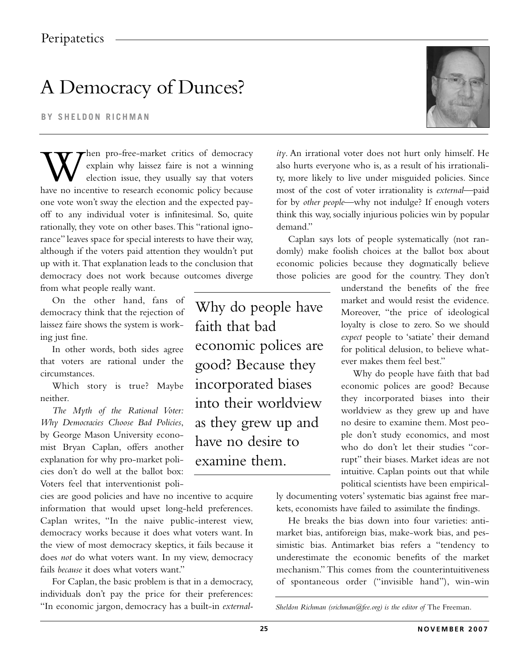## A Democracy of Dunces?

**BY SHELDON RICHMAN**

When pro-free-market critics of democracy<br>explain why laissez faire is not a winning<br>election issue, they usually say that voters<br>have no incentive to research economic policy because explain why laissez faire is not a winning election issue, they usually say that voters have no incentive to research economic policy because one vote won't sway the election and the expected payoff to any individual voter is infinitesimal. So, quite rationally, they vote on other bases.This "rational ignorance" leaves space for special interests to have their way, although if the voters paid attention they wouldn't put up with it. That explanation leads to the conclusion that democracy does not work because outcomes diverge from what people really want.

On the other hand, fans of democracy think that the rejection of laissez faire shows the system is working just fine.

In other words, both sides agree that voters are rational under the circumstances.

Which story is true? Maybe neither.

*The Myth of the Rational Voter: Why Democracies Choose Bad Policies*, by George Mason University economist Bryan Caplan, offers another explanation for why pro-market policies don't do well at the ballot box: Voters feel that interventionist poli-

cies are good policies and have no incentive to acquire information that would upset long-held preferences. Caplan writes, "In the naive public-interest view, democracy works because it does what voters want. In the view of most democracy skeptics, it fails because it does *not* do what voters want. In my view, democracy fails *because* it does what voters want."

For Caplan, the basic problem is that in a democracy, individuals don't pay the price for their preferences: "In economic jargon, democracy has a built-in *external-*

Why do people have faith that bad economic polices are good? Because they incorporated biases into their worldview as they grew up and have no desire to examine them.



*ity*. An irrational voter does not hurt only himself. He also hurts everyone who is, as a result of his irrationality, more likely to live under misguided policies. Since most of the cost of voter irrationality is *external*—paid for by *other people*—why not indulge? If enough voters think this way, socially injurious policies win by popular demand."

Caplan says lots of people systematically (not randomly) make foolish choices at the ballot box about economic policies because they dogmatically believe those policies are good for the country. They don't

> understand the benefits of the free market and would resist the evidence. Moreover, "the price of ideological loyalty is close to zero. So we should *expect* people to 'satiate' their demand for political delusion, to believe whatever makes them feel best."

> Why do people have faith that bad economic polices are good? Because they incorporated biases into their worldview as they grew up and have no desire to examine them. Most people don't study economics, and most who do don't let their studies "corrupt" their biases. Market ideas are not intuitive. Caplan points out that while political scientists have been empirical-

ly documenting voters' systematic bias against free markets, economists have failed to assimilate the findings.

He breaks the bias down into four varieties: antimarket bias, antiforeign bias, make-work bias, and pessimistic bias. Antimarket bias refers a "tendency to underestimate the economic benefits of the market mechanism."This comes from the counterintuitiveness of spontaneous order ("invisible hand"), win-win

*Sheldon Richman (srichman@fee.org) is the editor of* The Freeman.